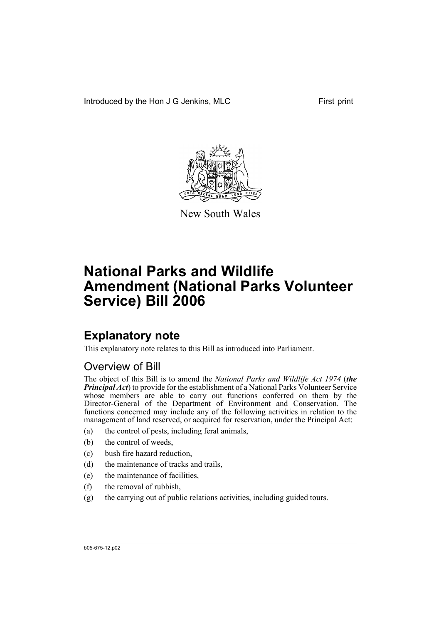Introduced by the Hon J G Jenkins, MLC First print



New South Wales

# **National Parks and Wildlife Amendment (National Parks Volunteer Service) Bill 2006**

## **Explanatory note**

This explanatory note relates to this Bill as introduced into Parliament.

## Overview of Bill

The object of this Bill is to amend the *National Parks and Wildlife Act 1974* (*the Principal Act*) to provide for the establishment of a National Parks Volunteer Service whose members are able to carry out functions conferred on them by the Director-General of the Department of Environment and Conservation. The functions concerned may include any of the following activities in relation to the management of land reserved, or acquired for reservation, under the Principal Act:

- (a) the control of pests, including feral animals,
- (b) the control of weeds,
- (c) bush fire hazard reduction,
- (d) the maintenance of tracks and trails,
- (e) the maintenance of facilities,
- (f) the removal of rubbish,
- (g) the carrying out of public relations activities, including guided tours.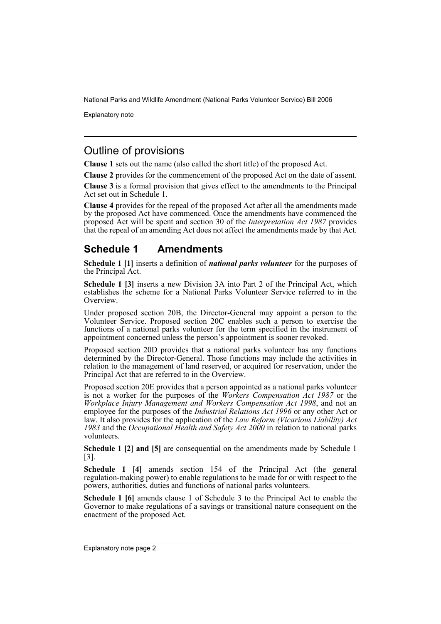Explanatory note

### Outline of provisions

**Clause 1** sets out the name (also called the short title) of the proposed Act.

**Clause 2** provides for the commencement of the proposed Act on the date of assent.

**Clause 3** is a formal provision that gives effect to the amendments to the Principal Act set out in Schedule 1.

**Clause 4** provides for the repeal of the proposed Act after all the amendments made by the proposed Act have commenced. Once the amendments have commenced the proposed Act will be spent and section 30 of the *Interpretation Act 1987* provides that the repeal of an amending Act does not affect the amendments made by that Act.

### **Schedule 1 Amendments**

**Schedule 1 [1]** inserts a definition of *national parks volunteer* for the purposes of the Principal Act.

**Schedule 1 [3]** inserts a new Division 3A into Part 2 of the Principal Act, which establishes the scheme for a National Parks Volunteer Service referred to in the Overview.

Under proposed section 20B, the Director-General may appoint a person to the Volunteer Service. Proposed section 20C enables such a person to exercise the functions of a national parks volunteer for the term specified in the instrument of appointment concerned unless the person's appointment is sooner revoked.

Proposed section 20D provides that a national parks volunteer has any functions determined by the Director-General. Those functions may include the activities in relation to the management of land reserved, or acquired for reservation, under the Principal Act that are referred to in the Overview.

Proposed section 20E provides that a person appointed as a national parks volunteer is not a worker for the purposes of the *Workers Compensation Act 1987* or the *Workplace Injury Management and Workers Compensation Act 1998*, and not an employee for the purposes of the *Industrial Relations Act 1996* or any other Act or law. It also provides for the application of the *Law Reform (Vicarious Liability) Act 1983* and the *Occupational Health and Safety Act 2000* in relation to national parks volunteers.

**Schedule 1 [2] and [5]** are consequential on the amendments made by Schedule 1 [3].

**Schedule 1 [4]** amends section 154 of the Principal Act (the general regulation-making power) to enable regulations to be made for or with respect to the powers, authorities, duties and functions of national parks volunteers.

**Schedule 1 [6]** amends clause 1 of Schedule 3 to the Principal Act to enable the Governor to make regulations of a savings or transitional nature consequent on the enactment of the proposed Act.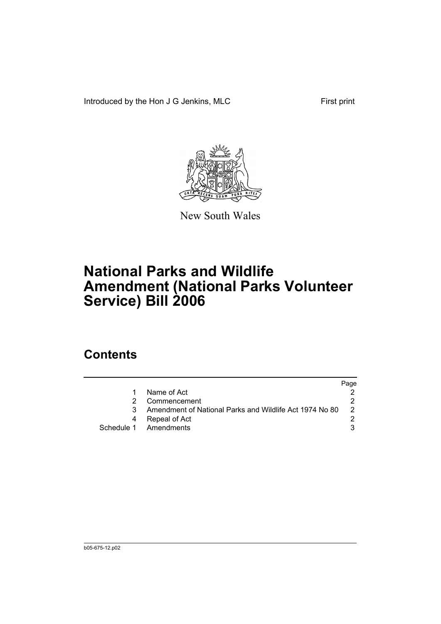Introduced by the Hon J G Jenkins, MLC First print



New South Wales

# **National Parks and Wildlife Amendment (National Parks Volunteer Service) Bill 2006**

## **Contents**

|                                                         | Page |
|---------------------------------------------------------|------|
| Name of Act                                             |      |
| Commencement                                            |      |
| Amendment of National Parks and Wildlife Act 1974 No 80 |      |
| Repeal of Act                                           |      |
| Schedule 1 Amendments                                   |      |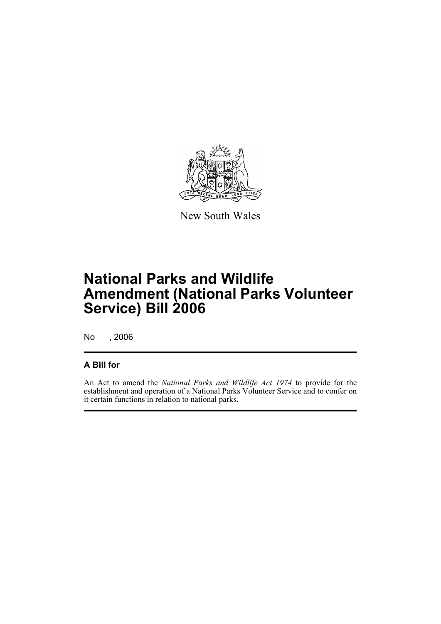

New South Wales

## **National Parks and Wildlife Amendment (National Parks Volunteer Service) Bill 2006**

No , 2006

#### **A Bill for**

An Act to amend the *National Parks and Wildlife Act 1974* to provide for the establishment and operation of a National Parks Volunteer Service and to confer on it certain functions in relation to national parks.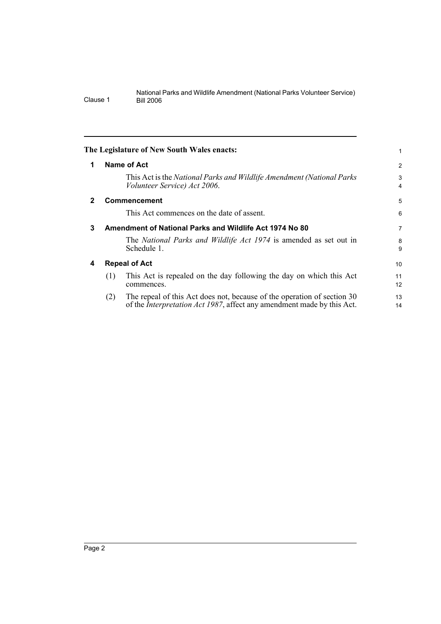|              |                      | The Legislature of New South Wales enacts:                                                                                                                |                |
|--------------|----------------------|-----------------------------------------------------------------------------------------------------------------------------------------------------------|----------------|
| 1            | Name of Act          |                                                                                                                                                           | $\overline{2}$ |
|              |                      | This Act is the National Parks and Wildlife Amendment (National Parks<br>Volunteer Service) Act 2006.                                                     | 3<br>4         |
| $\mathbf{2}$ | Commencement         |                                                                                                                                                           | 5              |
|              |                      | This Act commences on the date of assent.                                                                                                                 | 6              |
| 3            |                      | Amendment of National Parks and Wildlife Act 1974 No 80                                                                                                   | 7              |
|              | Schedule 1.          | The National Parks and Wildlife Act 1974 is amended as set out in                                                                                         | 8<br>9         |
| 4            | <b>Repeal of Act</b> |                                                                                                                                                           | 10             |
|              | (1)<br>commences.    | This Act is repealed on the day following the day on which this Act                                                                                       | 11<br>12       |
|              | (2)                  | The repeal of this Act does not, because of the operation of section 30<br>of the <i>Interpretation Act 1987</i> , affect any amendment made by this Act. | 13<br>14       |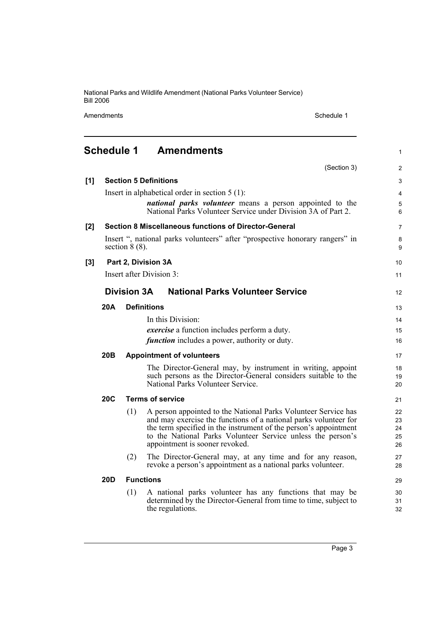Amendments **Amendments** Schedule 1

#### **Schedule 1 Amendments** (Section 3) **[1] Section 5 Definitions** Insert in alphabetical order in section 5 (1): *national parks volunteer* means a person appointed to the National Parks Volunteer Service under Division 3A of Part 2. **[2] Section 8 Miscellaneous functions of Director-General** Insert ", national parks volunteers" after "prospective honorary rangers" in section  $8(8)$ . **[3] Part 2, Division 3A** Insert after Division 3: **Division 3A National Parks Volunteer Service 20A Definitions** In this Division: *exercise* a function includes perform a duty. *function* includes a power, authority or duty. **20B Appointment of volunteers** The Director-General may, by instrument in writing, appoint such persons as the Director-General considers suitable to the National Parks Volunteer Service. **20C Terms of service** (1) A person appointed to the National Parks Volunteer Service has and may exercise the functions of a national parks volunteer for the term specified in the instrument of the person's appointment to the National Parks Volunteer Service unless the person's appointment is sooner revoked. (2) The Director-General may, at any time and for any reason, revoke a person's appointment as a national parks volunteer. **20D Functions** (1) A national parks volunteer has any functions that may be determined by the Director-General from time to time, subject to the regulations. 1  $\overline{2}$ 3 4 5 6 7 8 9 10 11 12 13 14 15 16 17 18 19 20 21 22 23 24 25 26 27 28 29 30 31 32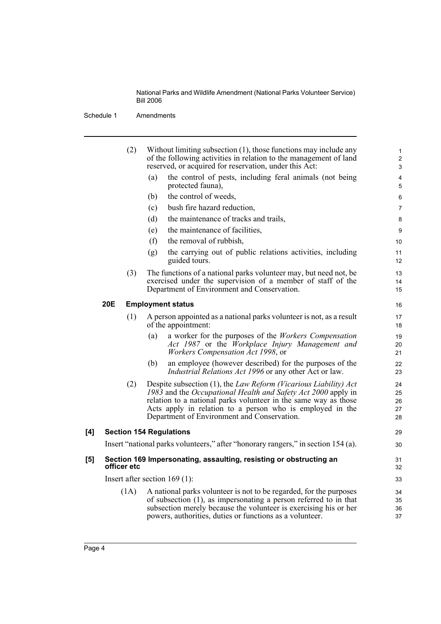Schedule 1 Amendments

|     |            | (2)         | Without limiting subsection $(1)$ , those functions may include any<br>of the following activities in relation to the management of land<br>reserved, or acquired for reservation, under this Act:                                                                                                               | $\mathbf{1}$<br>$\boldsymbol{2}$<br>3 |
|-----|------------|-------------|------------------------------------------------------------------------------------------------------------------------------------------------------------------------------------------------------------------------------------------------------------------------------------------------------------------|---------------------------------------|
|     |            |             | the control of pests, including feral animals (not being<br>(a)<br>protected fauna),                                                                                                                                                                                                                             | $\overline{\mathbf{4}}$<br>5          |
|     |            |             | the control of weeds,<br>(b)                                                                                                                                                                                                                                                                                     | 6                                     |
|     |            |             | bush fire hazard reduction,<br>(c)                                                                                                                                                                                                                                                                               | 7                                     |
|     |            |             | (d)<br>the maintenance of tracks and trails,                                                                                                                                                                                                                                                                     | 8                                     |
|     |            |             | the maintenance of facilities,<br>(e)                                                                                                                                                                                                                                                                            | 9                                     |
|     |            |             | the removal of rubbish,<br>(f)                                                                                                                                                                                                                                                                                   | 10                                    |
|     |            |             | the carrying out of public relations activities, including<br>(g)<br>guided tours.                                                                                                                                                                                                                               | 11<br>12                              |
|     |            | (3)         | The functions of a national parks volunteer may, but need not, be<br>exercised under the supervision of a member of staff of the<br>Department of Environment and Conservation.                                                                                                                                  | 13<br>14<br>15                        |
|     | <b>20E</b> |             | <b>Employment status</b>                                                                                                                                                                                                                                                                                         | 16                                    |
|     |            | (1)         | A person appointed as a national parks volunteer is not, as a result<br>of the appointment:                                                                                                                                                                                                                      | 17<br>18                              |
|     |            |             | a worker for the purposes of the <i>Workers Compensation</i><br>(a)<br>Act 1987 or the Workplace Injury Management and<br><i>Workers Compensation Act 1998</i> , or                                                                                                                                              | 19<br>20<br>21                        |
|     |            |             | an employee (however described) for the purposes of the<br>(b)<br><i>Industrial Relations Act 1996</i> or any other Act or law.                                                                                                                                                                                  | 22<br>23                              |
|     |            | (2)         | Despite subsection (1), the Law Reform (Vicarious Liability) Act<br>1983 and the Occupational Health and Safety Act 2000 apply in<br>relation to a national parks volunteer in the same way as those<br>Acts apply in relation to a person who is employed in the<br>Department of Environment and Conservation. | 24<br>25<br>26<br>27<br>28            |
| [4] |            |             | <b>Section 154 Regulations</b>                                                                                                                                                                                                                                                                                   | 29                                    |
|     |            |             | Insert "national parks volunteers," after "honorary rangers," in section 154 (a).                                                                                                                                                                                                                                | 30                                    |
| [5] |            | officer etc | Section 169 Impersonating, assaulting, resisting or obstructing an                                                                                                                                                                                                                                               | 31<br>32                              |
|     |            |             | Insert after section $169(1)$ :                                                                                                                                                                                                                                                                                  | 33                                    |
|     |            | (1A)        | A national parks volunteer is not to be regarded, for the purposes<br>of subsection (1), as impersonating a person referred to in that<br>subsection merely because the volunteer is exercising his or her<br>powers, authorities, duties or functions as a volunteer.                                           | 34<br>35<br>36<br>37                  |
|     |            |             |                                                                                                                                                                                                                                                                                                                  |                                       |

 $[4]$